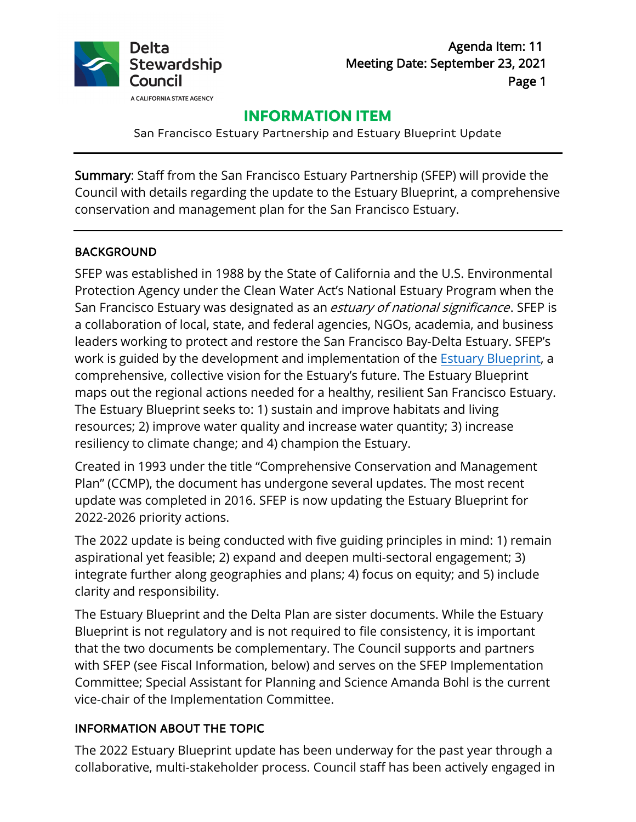

# **INFORMATION ITEM**

San Francisco Estuary Partnership and Estuary Blueprint Update

Summary: Staff from the San Francisco Estuary Partnership (SFEP) will provide the Council with details regarding the update to the Estuary Blueprint, a comprehensive conservation and management plan for the San Francisco Estuary.

#### BACKGROUND

SFEP was established in 1988 by the State of California and the U.S. Environmental Protection Agency under the Clean Water Act's National Estuary Program when the San Francisco Estuary was designated as an estuary of national significance. SFEP is a collaboration of local, state, and federal agencies, NGOs, academia, and business leaders working to protect and restore the San Francisco Bay-Delta Estuary. SFEP's work is guided by the development and implementation of the [Estuary Blueprint,](http://www.sfestuary.org/ccmp/) a comprehensive, collective vision for the Estuary's future. The Estuary Blueprint maps out the regional actions needed for a healthy, resilient San Francisco Estuary. The Estuary Blueprint seeks to: 1) sustain and improve habitats and living resources; 2) improve water quality and increase water quantity; 3) increase resiliency to climate change; and 4) champion the Estuary.

Created in 1993 under the title "Comprehensive Conservation and Management Plan" (CCMP), the document has undergone several updates. The most recent update was completed in 2016. SFEP is now updating the Estuary Blueprint for 2022-2026 priority actions.

The 2022 update is being conducted with five guiding principles in mind: 1) remain aspirational yet feasible; 2) expand and deepen multi-sectoral engagement; 3) integrate further along geographies and plans; 4) focus on equity; and 5) include clarity and responsibility.

The Estuary Blueprint and the Delta Plan are sister documents. While the Estuary Blueprint is not regulatory and is not required to file consistency, it is important that the two documents be complementary. The Council supports and partners with SFEP (see Fiscal Information, below) and serves on the SFEP Implementation Committee; Special Assistant for Planning and Science Amanda Bohl is the current vice-chair of the Implementation Committee.

## INFORMATION ABOUT THE TOPIC

The 2022 Estuary Blueprint update has been underway for the past year through a collaborative, multi-stakeholder process. Council staff has been actively engaged in